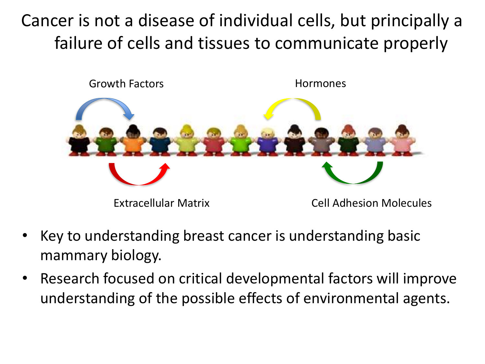Cancer is not a disease of individual cells, but principally a failure of cells and tissues to communicate properly



- Key to understanding breast cancer is understanding basic mammary biology.
- Research focused on critical developmental factors will improve understanding of the possible effects of environmental agents.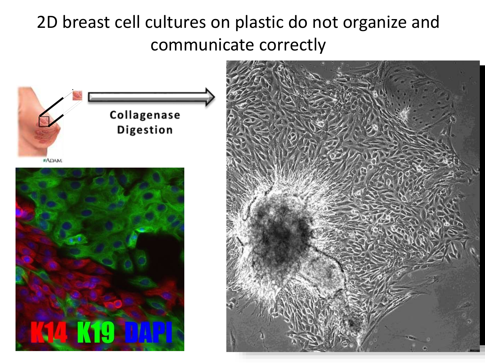## 2D breast cell cultures on plastic do not organize and communicate correctly



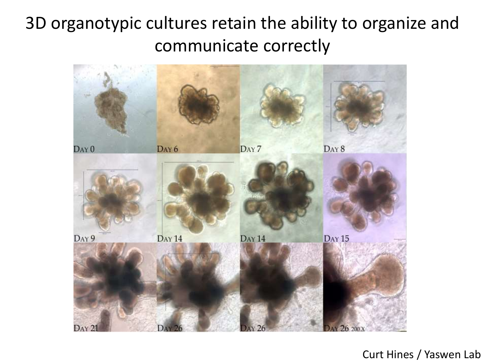## 3D organotypic cultures retain the ability to organize and communicate correctly



#### Curt Hines / Yaswen Lab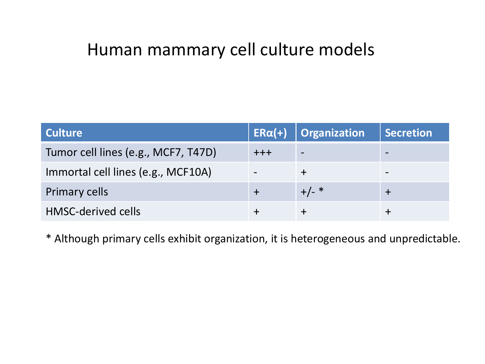### Human mammary cell culture models

| <b>Culture</b>                      | $ER\alpha(+)$ | Organization | Secretion |
|-------------------------------------|---------------|--------------|-----------|
| Tumor cell lines (e.g., MCF7, T47D) | $+++$         |              |           |
| Immortal cell lines (e.g., MCF10A)  |               |              |           |
| <b>Primary cells</b>                |               | $+/-$ *      |           |
| <b>HMSC-derived cells</b>           |               |              |           |

\* Although primary cells exhibit organization, it is heterogeneous and unpredictable.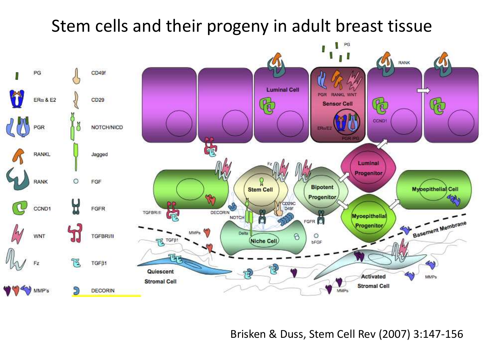

Brisken & Duss, Stem Cell Rev (2007) 3:147-156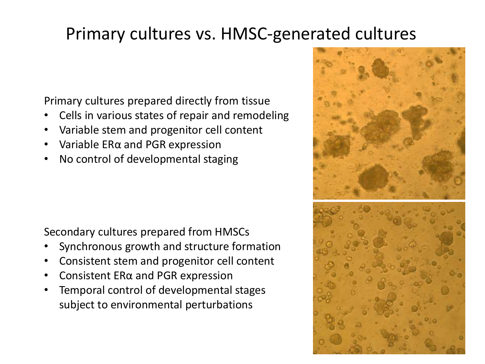## Primary cultures vs. HMSC-generated cultures

Primary cultures prepared directly from tissue

- Cells in various states of repair and remodeling
- Variable stem and progenitor cell content
- Variable ERα and PGR expression
- No control of developmental staging

Secondary cultures prepared from HMSCs

- Synchronous growth and structure formation
- Consistent stem and progenitor cell content
- Consistent ERα and PGR expression
- Temporal control of developmental stages subject to environmental perturbations

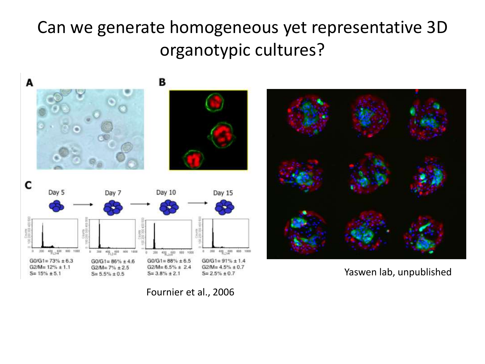# Can we generate homogeneous yet representative 3D organotypic cultures?



Fournier et al., 2006



Yaswen lab, unpublished